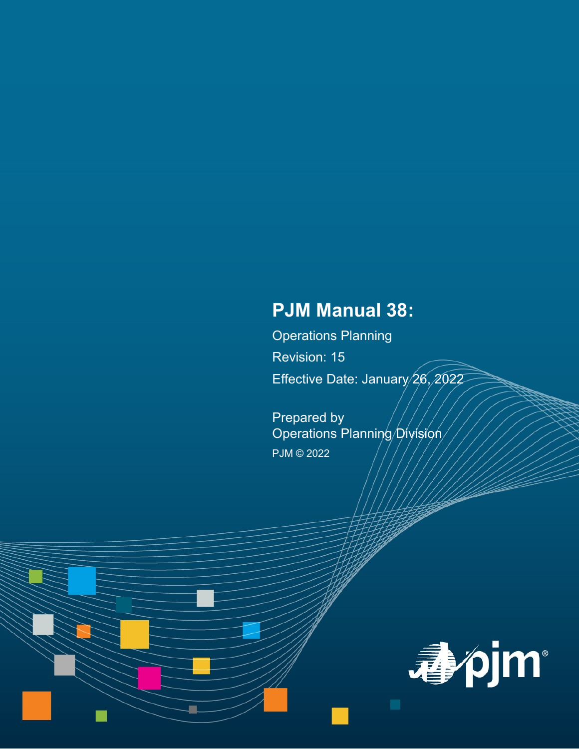# **PJM Manual 38:**

Operations Planning Revision: 15 Effective Date: January 26, 2022

Prepared by Operations Planning Division PJM © 2022

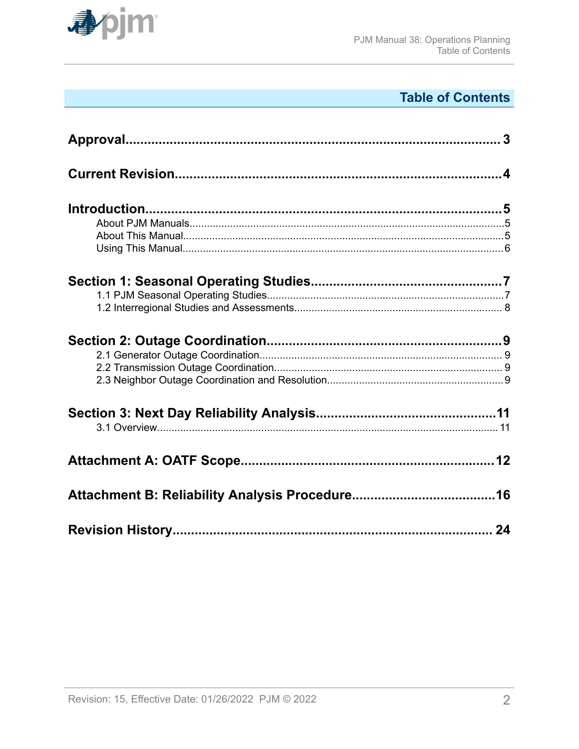

# **Table of Contents**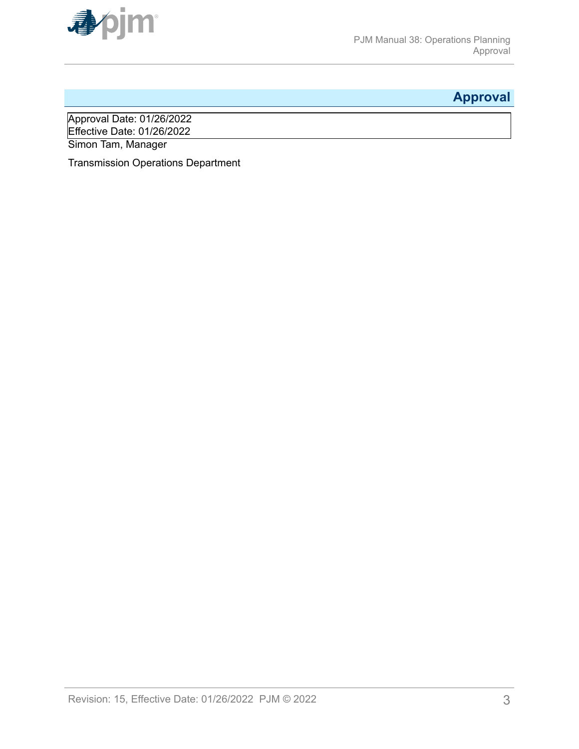<span id="page-2-0"></span>

## **Approval**

Approval Date: 01/26/2022 Effective Date: 01/26/2022 Simon Tam, Manager

Transmission Operations Department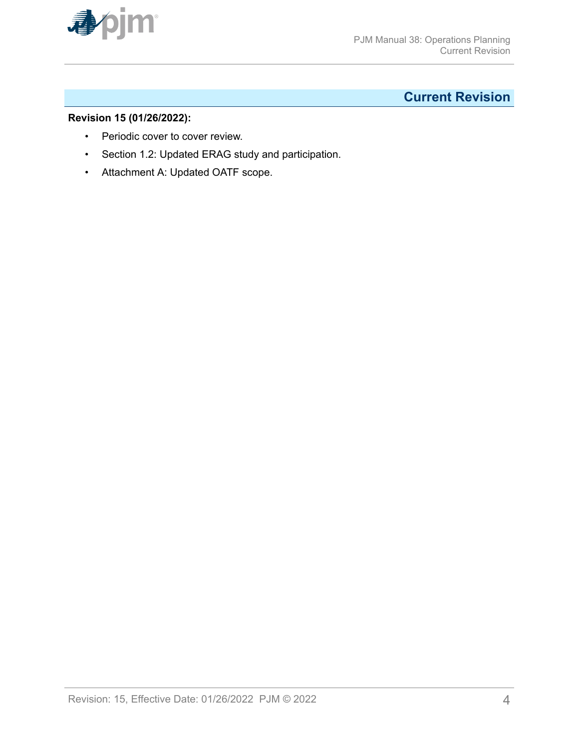<span id="page-3-0"></span>

## **Current Revision**

## **Revision 15 (01/26/2022):**

- Periodic cover to cover review.
- Section 1.2: Updated ERAG study and participation.
- Attachment A: Updated OATF scope.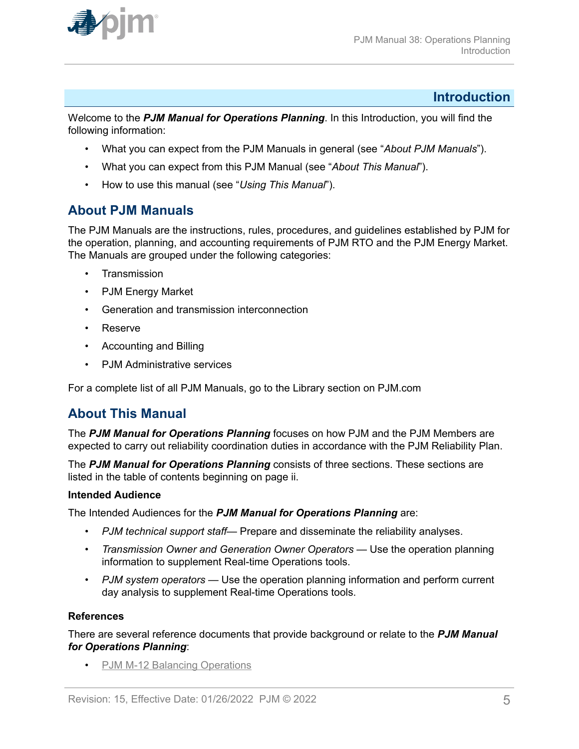<span id="page-4-0"></span>

## **Introduction**

W*e*lcome to the *PJM Manual for Operations Planning*. In this Introduction, you will find the following information:

- What you can expect from the PJM Manuals in general (see "*About PJM Manuals*").
- What you can expect from this PJM Manual (see "*About This Manual*").
- How to use this manual (see "*Using This Manual*").

## **About PJM Manuals**

The PJM Manuals are the instructions, rules, procedures, and guidelines established by PJM for the operation, planning, and accounting requirements of PJM RTO and the PJM Energy Market. The Manuals are grouped under the following categories:

- **Transmission**
- PJM Energy Market
- Generation and transmission interconnection
- Reserve
- Accounting and Billing
- PJM Administrative services

For a complete list of all PJM Manuals, go to the Library section on PJM.com

## **About This Manual**

The *PJM Manual for Operations Planning* focuses on how PJM and the PJM Members are expected to carry out reliability coordination duties in accordance with the PJM Reliability Plan.

The *PJM Manual for Operations Planning* consists of three sections. These sections are listed in the table of contents beginning on page ii.

## **Intended Audience**

The Intended Audiences for the *PJM Manual for Operations Planning* are:

- *PJM technical support staff* Prepare and disseminate the reliability analyses.
- *Transmission Owner and Generation Owner Operators* Use the operation planning information to supplement Real-time Operations tools.
- *PJM system operators* Use the operation planning information and perform current day analysis to supplement Real-time Operations tools.

#### **References**

There are several reference documents that provide background or relate to the *PJM Manual for Operations Planning*:

• [PJM M-12 Balancing Operations](http://www.pjm.com/~/media/documents/manuals/m12.ashx)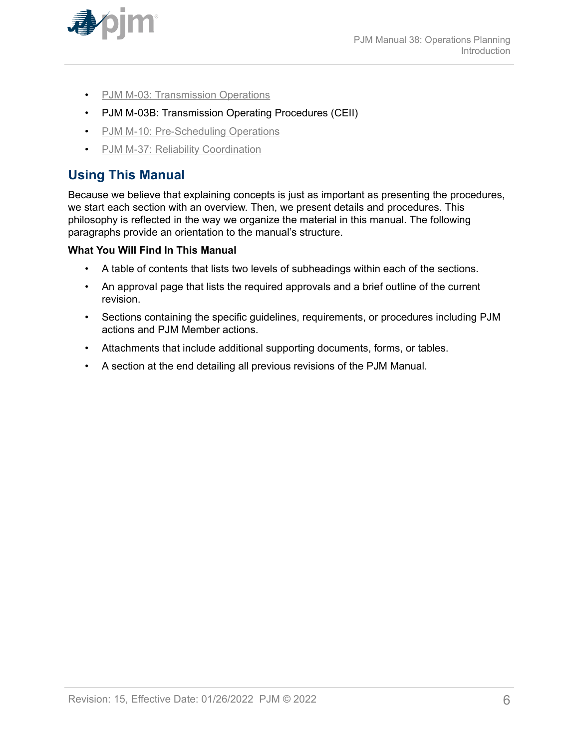<span id="page-5-0"></span>

- [PJM M-03: Transmission Operations](http://www.pjm.com/~/media/documents/manuals/m03.ashx)
- PJM M-03B: Transmission Operating Procedures (CEII)
- [PJM M-10: Pre-Scheduling Operations](http://www.pjm.com/~/media/documents/manuals/m10.ashx)
- [PJM M-37: Reliability Coordination](http://pjm.com/~/media/documents/manuals/m37.ashx)

## **Using This Manual**

Because we believe that explaining concepts is just as important as presenting the procedures, we start each section with an overview. Then, we present details and procedures. This philosophy is reflected in the way we organize the material in this manual. The following paragraphs provide an orientation to the manual's structure.

## **What You Will Find In This Manual**

- A table of contents that lists two levels of subheadings within each of the sections.
- An approval page that lists the required approvals and a brief outline of the current revision.
- Sections containing the specific guidelines, requirements, or procedures including PJM actions and PJM Member actions.
- Attachments that include additional supporting documents, forms, or tables.
- A section at the end detailing all previous revisions of the PJM Manual.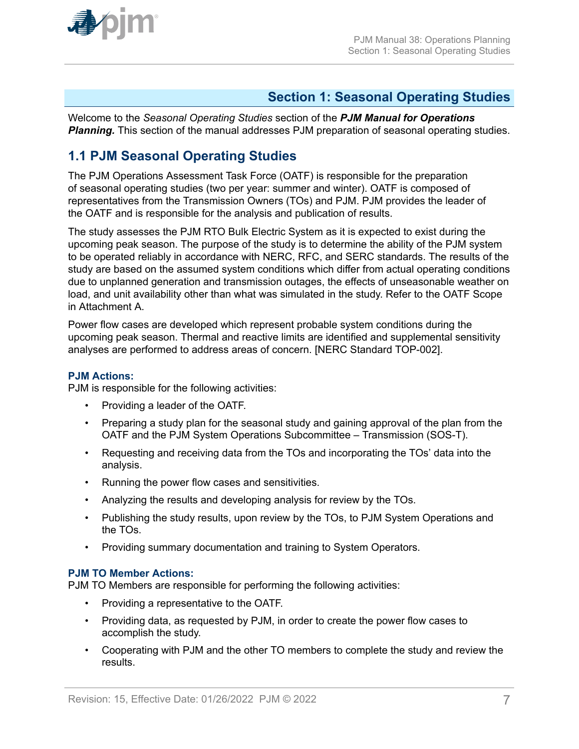<span id="page-6-0"></span>

## **Section 1: Seasonal Operating Studies**

Welcome to the *Seasonal Operating Studies* section of the *PJM Manual for Operations* **Planning.** This section of the manual addresses PJM preparation of seasonal operating studies.

## **1.1 PJM Seasonal Operating Studies**

The PJM Operations Assessment Task Force (OATF) is responsible for the preparation of seasonal operating studies (two per year: summer and winter). OATF is composed of representatives from the Transmission Owners (TOs) and PJM. PJM provides the leader of the OATF and is responsible for the analysis and publication of results.

The study assesses the PJM RTO Bulk Electric System as it is expected to exist during the upcoming peak season. The purpose of the study is to determine the ability of the PJM system to be operated reliably in accordance with NERC, RFC, and SERC standards. The results of the study are based on the assumed system conditions which differ from actual operating conditions due to unplanned generation and transmission outages, the effects of unseasonable weather on load, and unit availability other than what was simulated in the study. Refer to the OATF Scope in Attachment A.

Power flow cases are developed which represent probable system conditions during the upcoming peak season. Thermal and reactive limits are identified and supplemental sensitivity analyses are performed to address areas of concern. [NERC Standard TOP-002].

#### **PJM Actions:**

PJM is responsible for the following activities:

- Providing a leader of the OATF.
- Preparing a study plan for the seasonal study and gaining approval of the plan from the OATF and the PJM System Operations Subcommittee – Transmission (SOS-T).
- Requesting and receiving data from the TOs and incorporating the TOs' data into the analysis.
- Running the power flow cases and sensitivities.
- Analyzing the results and developing analysis for review by the TOs.
- Publishing the study results, upon review by the TOs, to PJM System Operations and the TOs.
- Providing summary documentation and training to System Operators.

## **PJM TO Member Actions:**

PJM TO Members are responsible for performing the following activities:

- Providing a representative to the OATF.
- Providing data, as requested by PJM, in order to create the power flow cases to accomplish the study.
- Cooperating with PJM and the other TO members to complete the study and review the results.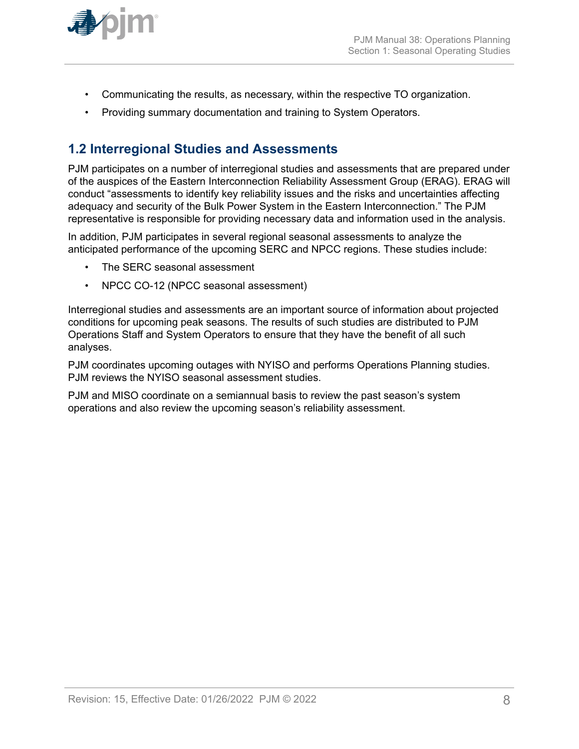<span id="page-7-0"></span>

- Communicating the results, as necessary, within the respective TO organization.
- Providing summary documentation and training to System Operators.

## **1.2 Interregional Studies and Assessments**

PJM participates on a number of interregional studies and assessments that are prepared under of the auspices of the Eastern Interconnection Reliability Assessment Group (ERAG). ERAG will conduct "assessments to identify key reliability issues and the risks and uncertainties affecting adequacy and security of the Bulk Power System in the Eastern Interconnection." The PJM representative is responsible for providing necessary data and information used in the analysis.

In addition, PJM participates in several regional seasonal assessments to analyze the anticipated performance of the upcoming SERC and NPCC regions. These studies include:

- The SERC seasonal assessment
- NPCC CO-12 (NPCC seasonal assessment)

Interregional studies and assessments are an important source of information about projected conditions for upcoming peak seasons. The results of such studies are distributed to PJM Operations Staff and System Operators to ensure that they have the benefit of all such analyses.

PJM coordinates upcoming outages with NYISO and performs Operations Planning studies. PJM reviews the NYISO seasonal assessment studies.

PJM and MISO coordinate on a semiannual basis to review the past season's system operations and also review the upcoming season's reliability assessment.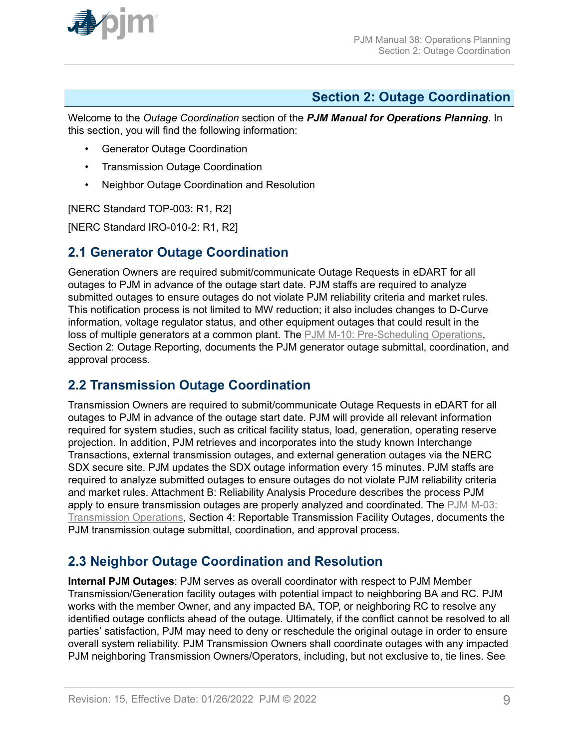<span id="page-8-0"></span>

## **Section 2: Outage Coordination**

Welcome to the *Outage Coordination* section of the *PJM Manual for Operations Planning*. In this section, you will find the following information:

- Generator Outage Coordination
- Transmission Outage Coordination
- Neighbor Outage Coordination and Resolution

[NERC Standard TOP-003: R1, R2]

[NERC Standard IRO-010-2: R1, R2]

## **2.1 Generator Outage Coordination**

Generation Owners are required submit/communicate Outage Requests in eDART for all outages to PJM in advance of the outage start date. PJM staffs are required to analyze submitted outages to ensure outages do not violate PJM reliability criteria and market rules. This notification process is not limited to MW reduction; it also includes changes to D-Curve information, voltage regulator status, and other equipment outages that could result in the loss of multiple generators at a common plant. The [PJM M-10: Pre-Scheduling Operations](http://www.pjm.com/~/media/documents/manuals/m10.ashx), Section 2: Outage Reporting, documents the PJM generator outage submittal, coordination, and approval process.

## **2.2 Transmission Outage Coordination**

Transmission Owners are required to submit/communicate Outage Requests in eDART for all outages to PJM in advance of the outage start date. PJM will provide all relevant information required for system studies, such as critical facility status, load, generation, operating reserve projection. In addition, PJM retrieves and incorporates into the study known Interchange Transactions, external transmission outages, and external generation outages via the NERC SDX secure site. PJM updates the SDX outage information every 15 minutes. PJM staffs are required to analyze submitted outages to ensure outages do not violate PJM reliability criteria and market rules. Attachment B: Reliability Analysis Procedure describes the process PJM apply to ensure transmission outages are properly analyzed and coordinated. The [PJM M-03:](http://www.pjm.com/~/media/documents/manuals/m03.ashx) [Transmission Operations,](http://www.pjm.com/~/media/documents/manuals/m03.ashx) Section 4: Reportable Transmission Facility Outages, documents the PJM transmission outage submittal, coordination, and approval process.

## **2.3 Neighbor Outage Coordination and Resolution**

**Internal PJM Outages**: PJM serves as overall coordinator with respect to PJM Member Transmission/Generation facility outages with potential impact to neighboring BA and RC. PJM works with the member Owner, and any impacted BA, TOP, or neighboring RC to resolve any identified outage conflicts ahead of the outage. Ultimately, if the conflict cannot be resolved to all parties' satisfaction, PJM may need to deny or reschedule the original outage in order to ensure overall system reliability. PJM Transmission Owners shall coordinate outages with any impacted PJM neighboring Transmission Owners/Operators, including, but not exclusive to, tie lines. See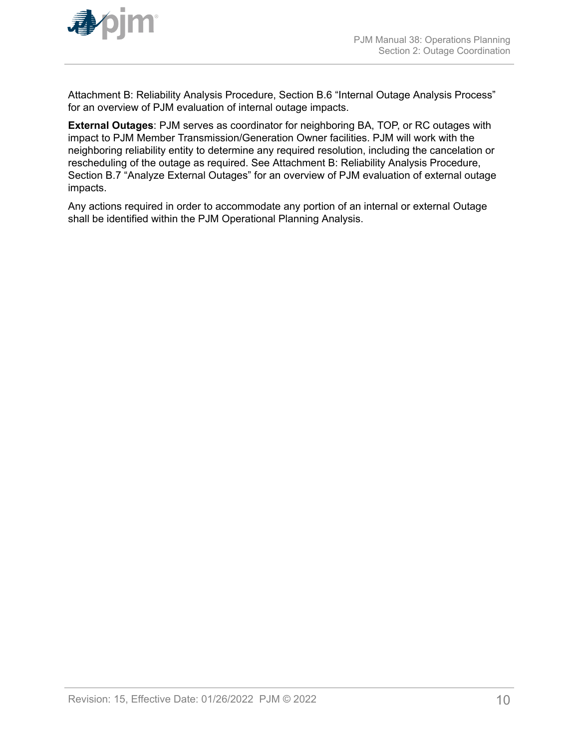

Attachment B: Reliability Analysis Procedure, Section B.6 "Internal Outage Analysis Process" for an overview of PJM evaluation of internal outage impacts.

**External Outages**: PJM serves as coordinator for neighboring BA, TOP, or RC outages with impact to PJM Member Transmission/Generation Owner facilities. PJM will work with the neighboring reliability entity to determine any required resolution, including the cancelation or rescheduling of the outage as required. See Attachment B: Reliability Analysis Procedure, Section B.7 "Analyze External Outages" for an overview of PJM evaluation of external outage impacts.

Any actions required in order to accommodate any portion of an internal or external Outage shall be identified within the PJM Operational Planning Analysis.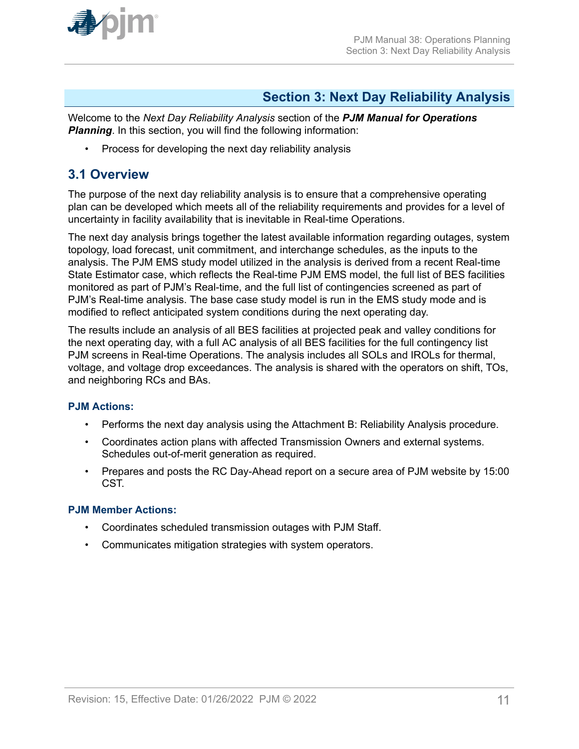<span id="page-10-0"></span>

## **Section 3: Next Day Reliability Analysis**

Welcome to the *Next Day Reliability Analysis* section of the *PJM Manual for Operations* **Planning**. In this section, you will find the following information:

• Process for developing the next day reliability analysis

## **3.1 Overview**

The purpose of the next day reliability analysis is to ensure that a comprehensive operating plan can be developed which meets all of the reliability requirements and provides for a level of uncertainty in facility availability that is inevitable in Real-time Operations.

The next day analysis brings together the latest available information regarding outages, system topology, load forecast, unit commitment, and interchange schedules, as the inputs to the analysis. The PJM EMS study model utilized in the analysis is derived from a recent Real-time State Estimator case, which reflects the Real-time PJM EMS model, the full list of BES facilities monitored as part of PJM's Real-time, and the full list of contingencies screened as part of PJM's Real-time analysis. The base case study model is run in the EMS study mode and is modified to reflect anticipated system conditions during the next operating day.

The results include an analysis of all BES facilities at projected peak and valley conditions for the next operating day, with a full AC analysis of all BES facilities for the full contingency list PJM screens in Real-time Operations. The analysis includes all SOLs and IROLs for thermal, voltage, and voltage drop exceedances. The analysis is shared with the operators on shift, TOs, and neighboring RCs and BAs.

## **PJM Actions:**

- Performs the next day analysis using the Attachment B: Reliability Analysis procedure.
- Coordinates action plans with affected Transmission Owners and external systems. Schedules out-of-merit generation as required.
- Prepares and posts the RC Day-Ahead report on a secure area of PJM website by 15:00 CST.

## **PJM Member Actions:**

- Coordinates scheduled transmission outages with PJM Staff.
- Communicates mitigation strategies with system operators.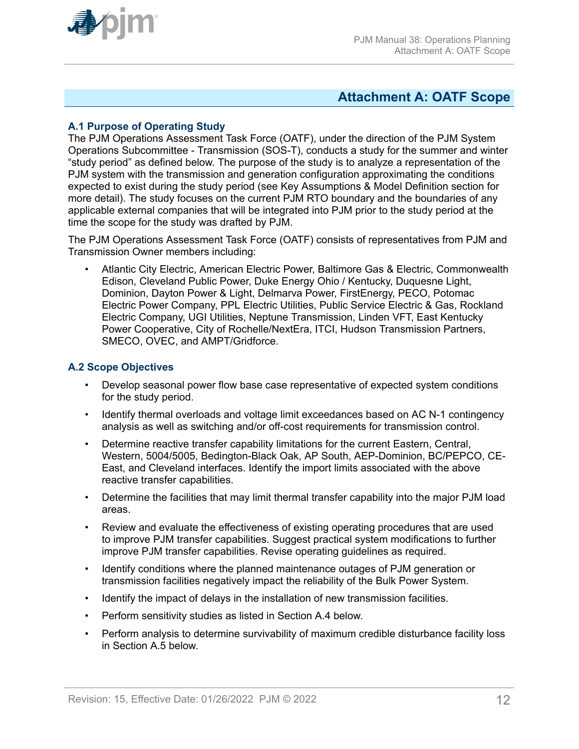<span id="page-11-0"></span>

## **Attachment A: OATF Scope**

## **A.1 Purpose of Operating Study**

The PJM Operations Assessment Task Force (OATF), under the direction of the PJM System Operations Subcommittee - Transmission (SOS-T), conducts a study for the summer and winter "study period" as defined below. The purpose of the study is to analyze a representation of the PJM system with the transmission and generation configuration approximating the conditions expected to exist during the study period (see Key Assumptions & Model Definition section for more detail). The study focuses on the current PJM RTO boundary and the boundaries of any applicable external companies that will be integrated into PJM prior to the study period at the time the scope for the study was drafted by PJM.

The PJM Operations Assessment Task Force (OATF) consists of representatives from PJM and Transmission Owner members including:

• Atlantic City Electric, American Electric Power, Baltimore Gas & Electric, Commonwealth Edison, Cleveland Public Power, Duke Energy Ohio / Kentucky, Duquesne Light, Dominion, Dayton Power & Light, Delmarva Power, FirstEnergy, PECO, Potomac Electric Power Company, PPL Electric Utilities, Public Service Electric & Gas, Rockland Electric Company, UGI Utilities, Neptune Transmission, Linden VFT, East Kentucky Power Cooperative, City of Rochelle/NextEra, ITCI, Hudson Transmission Partners, SMECO, OVEC, and AMPT/Gridforce.

### **A.2 Scope Objectives**

- Develop seasonal power flow base case representative of expected system conditions for the study period.
- Identify thermal overloads and voltage limit exceedances based on AC N-1 contingency analysis as well as switching and/or off-cost requirements for transmission control.
- Determine reactive transfer capability limitations for the current Eastern, Central, Western, 5004/5005, Bedington-Black Oak, AP South, AEP-Dominion, BC/PEPCO, CE-East, and Cleveland interfaces. Identify the import limits associated with the above reactive transfer capabilities.
- Determine the facilities that may limit thermal transfer capability into the major PJM load areas.
- Review and evaluate the effectiveness of existing operating procedures that are used to improve PJM transfer capabilities. Suggest practical system modifications to further improve PJM transfer capabilities. Revise operating guidelines as required.
- Identify conditions where the planned maintenance outages of PJM generation or transmission facilities negatively impact the reliability of the Bulk Power System.
- Identify the impact of delays in the installation of new transmission facilities.
- Perform sensitivity studies as listed in Section A.4 below.
- Perform analysis to determine survivability of maximum credible disturbance facility loss in Section A.5 below.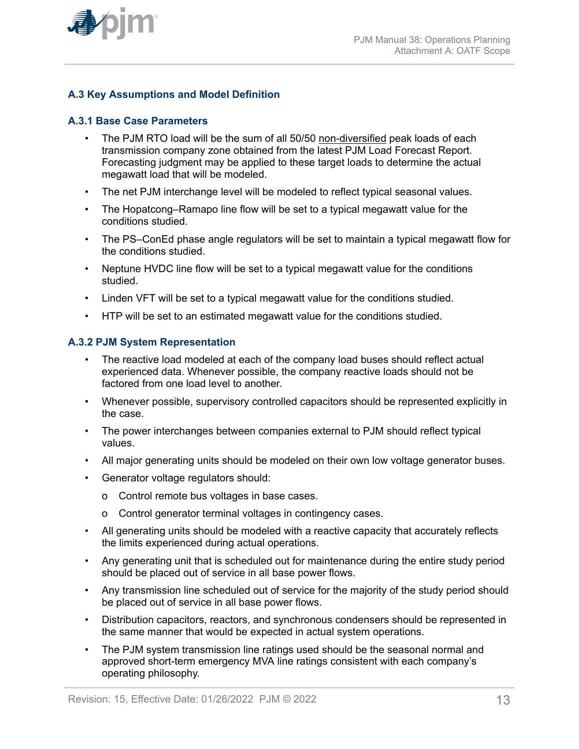

## **A.3 Key Assumptions and Model Definition**

### **A.3.1 Base Case Parameters**

- The PJM RTO load will be the sum of all 50/50 non-diversified peak loads of each transmission company zone obtained from the latest PJM Load Forecast Report. Forecasting judgment may be applied to these target loads to determine the actual megawatt load that will be modeled.
- The net PJM interchange level will be modeled to reflect typical seasonal values.
- The Hopatcong–Ramapo line flow will be set to a typical megawatt value for the conditions studied.
- The PS–ConEd phase angle regulators will be set to maintain a typical megawatt flow for the conditions studied.
- Neptune HVDC line flow will be set to a typical megawatt value for the conditions studied.
- Linden VFT will be set to a typical megawatt value for the conditions studied.
- HTP will be set to an estimated megawatt value for the conditions studied.

### **A.3.2 PJM System Representation**

- The reactive load modeled at each of the company load buses should reflect actual experienced data. Whenever possible, the company reactive loads should not be factored from one load level to another.
- Whenever possible, supervisory controlled capacitors should be represented explicitly in the case.
- The power interchanges between companies external to PJM should reflect typical values.
- All major generating units should be modeled on their own low voltage generator buses.
- Generator voltage regulators should:
	- o Control remote bus voltages in base cases.
	- o Control generator terminal voltages in contingency cases.
- All generating units should be modeled with a reactive capacity that accurately reflects the limits experienced during actual operations.
- Any generating unit that is scheduled out for maintenance during the entire study period should be placed out of service in all base power flows.
- Any transmission line scheduled out of service for the majority of the study period should be placed out of service in all base power flows.
- Distribution capacitors, reactors, and synchronous condensers should be represented in the same manner that would be expected in actual system operations.
- The PJM system transmission line ratings used should be the seasonal normal and approved short-term emergency MVA line ratings consistent with each company's operating philosophy.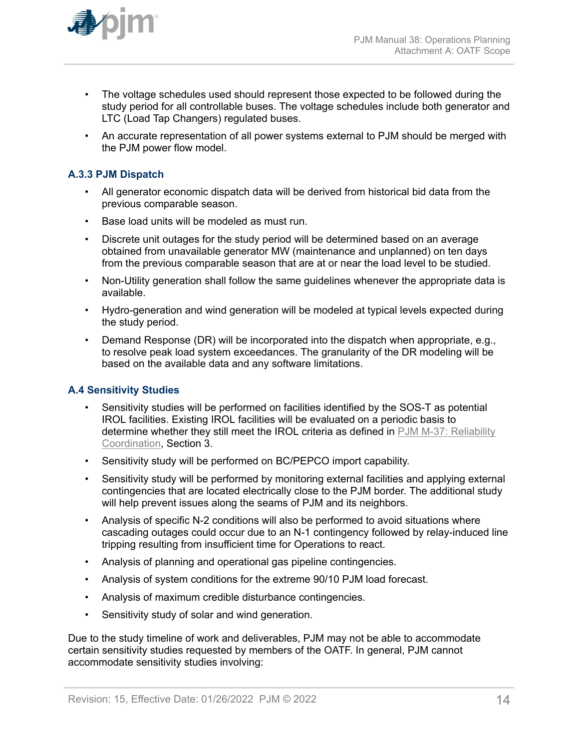

- The voltage schedules used should represent those expected to be followed during the study period for all controllable buses. The voltage schedules include both generator and LTC (Load Tap Changers) regulated buses.
- An accurate representation of all power systems external to PJM should be merged with the PJM power flow model.

## **A.3.3 PJM Dispatch**

- All generator economic dispatch data will be derived from historical bid data from the previous comparable season.
- Base load units will be modeled as must run.
- Discrete unit outages for the study period will be determined based on an average obtained from unavailable generator MW (maintenance and unplanned) on ten days from the previous comparable season that are at or near the load level to be studied.
- Non-Utility generation shall follow the same guidelines whenever the appropriate data is available.
- Hydro-generation and wind generation will be modeled at typical levels expected during the study period.
- Demand Response (DR) will be incorporated into the dispatch when appropriate, e.g., to resolve peak load system exceedances. The granularity of the DR modeling will be based on the available data and any software limitations.

## **A.4 Sensitivity Studies**

- Sensitivity studies will be performed on facilities identified by the SOS-T as potential IROL facilities. Existing IROL facilities will be evaluated on a periodic basis to determine whether they still meet the IROL criteria as defined in [PJM M-37: Reliability](http://pjm.com/~/media/documents/manuals/m37.ashx) [Coordination](http://pjm.com/~/media/documents/manuals/m37.ashx), Section 3.
- Sensitivity study will be performed on BC/PEPCO import capability.
- Sensitivity study will be performed by monitoring external facilities and applying external contingencies that are located electrically close to the PJM border. The additional study will help prevent issues along the seams of PJM and its neighbors.
- Analysis of specific N-2 conditions will also be performed to avoid situations where cascading outages could occur due to an N-1 contingency followed by relay-induced line tripping resulting from insufficient time for Operations to react.
- Analysis of planning and operational gas pipeline contingencies.
- Analysis of system conditions for the extreme 90/10 PJM load forecast.
- Analysis of maximum credible disturbance contingencies.
- Sensitivity study of solar and wind generation.

Due to the study timeline of work and deliverables, PJM may not be able to accommodate certain sensitivity studies requested by members of the OATF. In general, PJM cannot accommodate sensitivity studies involving: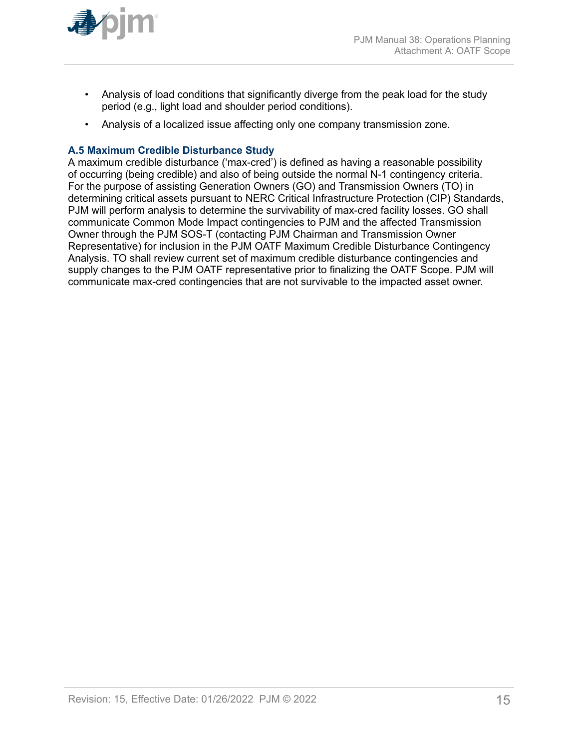

- Analysis of load conditions that significantly diverge from the peak load for the study period (e.g., light load and shoulder period conditions).
- Analysis of a localized issue affecting only one company transmission zone.

## **A.5 Maximum Credible Disturbance Study**

A maximum credible disturbance ('max-cred') is defined as having a reasonable possibility of occurring (being credible) and also of being outside the normal N-1 contingency criteria. For the purpose of assisting Generation Owners (GO) and Transmission Owners (TO) in determining critical assets pursuant to NERC Critical Infrastructure Protection (CIP) Standards, PJM will perform analysis to determine the survivability of max-cred facility losses. GO shall communicate Common Mode Impact contingencies to PJM and the affected Transmission Owner through the PJM SOS-T (contacting PJM Chairman and Transmission Owner Representative) for inclusion in the PJM OATF Maximum Credible Disturbance Contingency Analysis. TO shall review current set of maximum credible disturbance contingencies and supply changes to the PJM OATF representative prior to finalizing the OATF Scope. PJM will communicate max-cred contingencies that are not survivable to the impacted asset owner.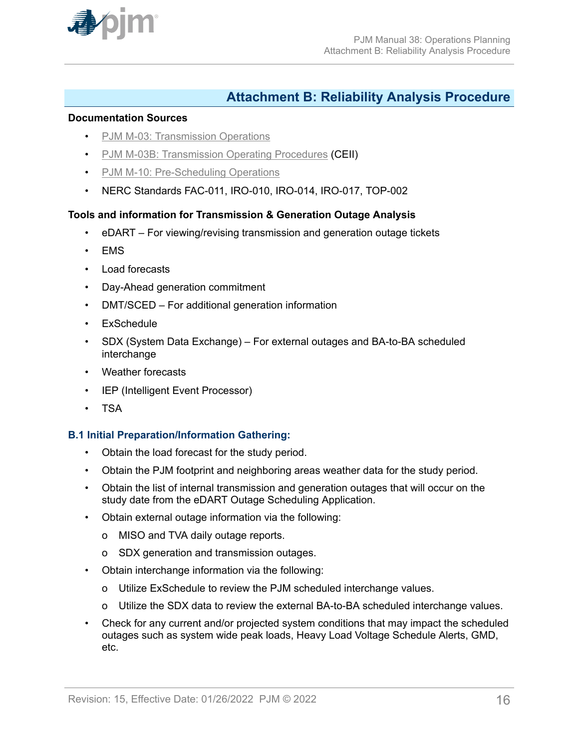<span id="page-15-0"></span>

## **Attachment B: Reliability Analysis Procedure**

#### **Documentation Sources**

- [PJM M-03: Transmission Operations](http://www.pjm.com/~/media/documents/manuals/m03.ashx)
- [PJM M-03B: Transmission Operating Procedures](https://www.pjm.com/library/manuals/private-m03.aspx) (CEII)
- [PJM M-10: Pre-Scheduling Operations](http://www.pjm.com/~/media/documents/manuals/m10.ashx)
- NERC Standards FAC-011, IRO-010, IRO-014, IRO-017, TOP-002

## **Tools and information for Transmission & Generation Outage Analysis**

- eDART For viewing/revising transmission and generation outage tickets
- EMS
- Load forecasts
- Day-Ahead generation commitment
- DMT/SCED For additional generation information
- ExSchedule
- SDX (System Data Exchange) For external outages and BA-to-BA scheduled interchange
- Weather forecasts
- IEP (Intelligent Event Processor)
- TSA

## **B.1 Initial Preparation/Information Gathering:**

- Obtain the load forecast for the study period.
- Obtain the PJM footprint and neighboring areas weather data for the study period.
- Obtain the list of internal transmission and generation outages that will occur on the study date from the eDART Outage Scheduling Application.
- Obtain external outage information via the following:
	- o MISO and TVA daily outage reports.
	- o SDX generation and transmission outages.
- Obtain interchange information via the following:
	- o Utilize ExSchedule to review the PJM scheduled interchange values.
	- o Utilize the SDX data to review the external BA-to-BA scheduled interchange values.
- Check for any current and/or projected system conditions that may impact the scheduled outages such as system wide peak loads, Heavy Load Voltage Schedule Alerts, GMD, etc.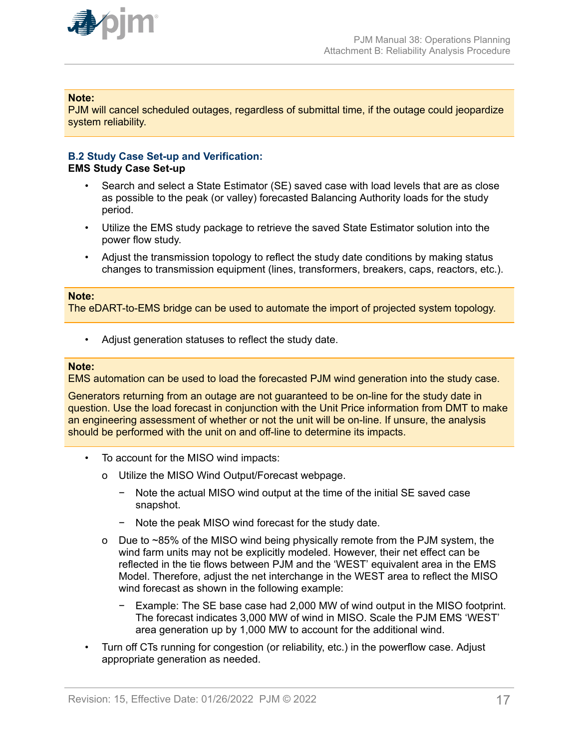

### **Note:**

PJM will cancel scheduled outages, regardless of submittal time, if the outage could jeopardize system reliability.

#### **B.2 Study Case Set-up and Verification: EMS Study Case Set-up**

- Search and select a State Estimator (SE) saved case with load levels that are as close as possible to the peak (or valley) forecasted Balancing Authority loads for the study period.
- Utilize the EMS study package to retrieve the saved State Estimator solution into the power flow study.
- Adjust the transmission topology to reflect the study date conditions by making status changes to transmission equipment (lines, transformers, breakers, caps, reactors, etc.).

#### **Note:**

The eDART-to-EMS bridge can be used to automate the import of projected system topology.

Adjust generation statuses to reflect the study date.

#### **Note:**

EMS automation can be used to load the forecasted PJM wind generation into the study case.

Generators returning from an outage are not guaranteed to be on-line for the study date in question. Use the load forecast in conjunction with the Unit Price information from DMT to make an engineering assessment of whether or not the unit will be on-line. If unsure, the analysis should be performed with the unit on and off-line to determine its impacts.

- To account for the MISO wind impacts:
	- o Utilize the MISO Wind Output/Forecast webpage.
		- − Note the actual MISO wind output at the time of the initial SE saved case snapshot.
		- − Note the peak MISO wind forecast for the study date.
	- o Due to ~85% of the MISO wind being physically remote from the PJM system, the wind farm units may not be explicitly modeled. However, their net effect can be reflected in the tie flows between PJM and the 'WEST' equivalent area in the EMS Model. Therefore, adjust the net interchange in the WEST area to reflect the MISO wind forecast as shown in the following example:
		- − Example: The SE base case had 2,000 MW of wind output in the MISO footprint. The forecast indicates 3,000 MW of wind in MISO. Scale the PJM EMS 'WEST' area generation up by 1,000 MW to account for the additional wind.
- Turn off CTs running for congestion (or reliability, etc.) in the powerflow case. Adjust appropriate generation as needed.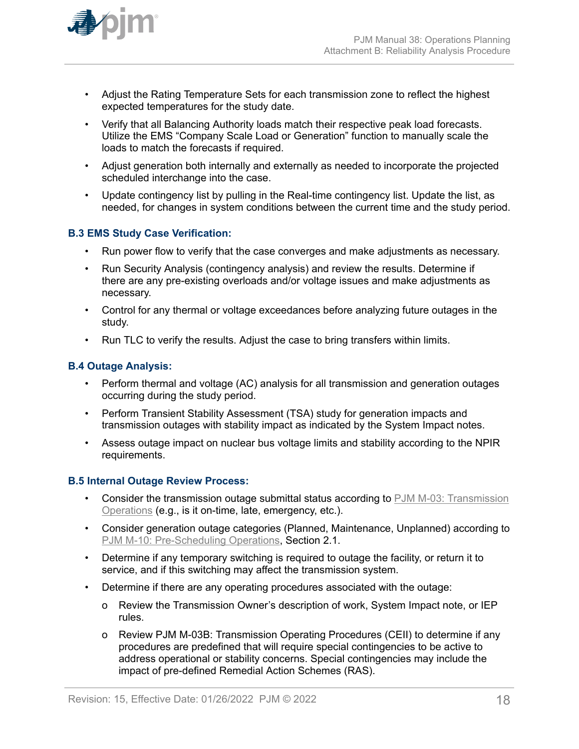

- Adjust the Rating Temperature Sets for each transmission zone to reflect the highest expected temperatures for the study date.
- Verify that all Balancing Authority loads match their respective peak load forecasts. Utilize the EMS "Company Scale Load or Generation" function to manually scale the loads to match the forecasts if required.
- Adjust generation both internally and externally as needed to incorporate the projected scheduled interchange into the case.
- Update contingency list by pulling in the Real-time contingency list. Update the list, as needed, for changes in system conditions between the current time and the study period.

## **B.3 EMS Study Case Verification:**

- Run power flow to verify that the case converges and make adjustments as necessary.
- Run Security Analysis (contingency analysis) and review the results. Determine if there are any pre-existing overloads and/or voltage issues and make adjustments as necessary.
- Control for any thermal or voltage exceedances before analyzing future outages in the study.
- Run TLC to verify the results. Adjust the case to bring transfers within limits.

### **B.4 Outage Analysis:**

- Perform thermal and voltage (AC) analysis for all transmission and generation outages occurring during the study period.
- Perform Transient Stability Assessment (TSA) study for generation impacts and transmission outages with stability impact as indicated by the System Impact notes.
- Assess outage impact on nuclear bus voltage limits and stability according to the NPIR requirements.

#### **B.5 Internal Outage Review Process:**

- Consider the transmission outage submittal status according to [PJM M-03: Transmission](http://www.pjm.com/~/media/documents/manuals/m03.ashx) [Operations](http://www.pjm.com/~/media/documents/manuals/m03.ashx) (e.g., is it on-time, late, emergency, etc.).
- Consider generation outage categories (Planned, Maintenance, Unplanned) according to [PJM M-10: Pre-Scheduling Operations](http://www.pjm.com/~/media/documents/manuals/m10.ashx), Section 2.1.
- Determine if any temporary switching is required to outage the facility, or return it to service, and if this switching may affect the transmission system.
- Determine if there are any operating procedures associated with the outage:
	- o Review the Transmission Owner's description of work, System Impact note, or IEP rules.
	- o Review PJM M-03B: Transmission Operating Procedures (CEII) to determine if any procedures are predefined that will require special contingencies to be active to address operational or stability concerns. Special contingencies may include the impact of pre-defined Remedial Action Schemes (RAS).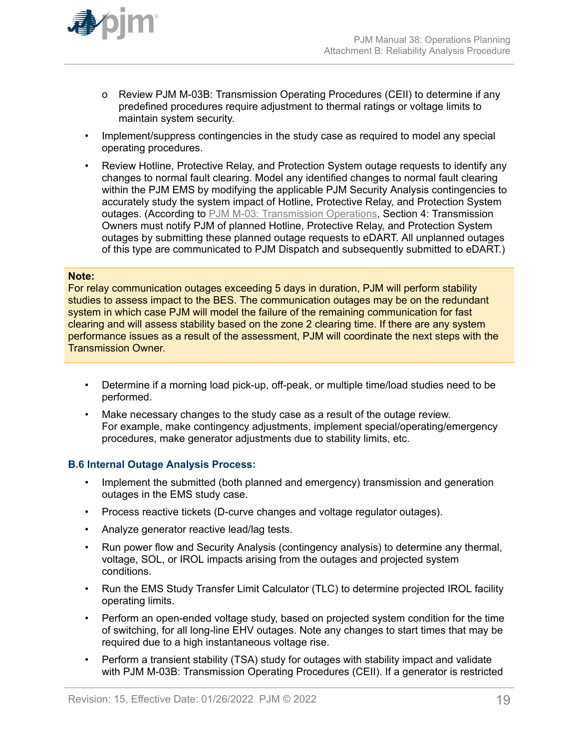

- o Review PJM M-03B: Transmission Operating Procedures (CEII) to determine if any predefined procedures require adjustment to thermal ratings or voltage limits to maintain system security.
- Implement/suppress contingencies in the study case as required to model any special operating procedures.
- Review Hotline, Protective Relay, and Protection System outage requests to identify any changes to normal fault clearing. Model any identified changes to normal fault clearing within the PJM EMS by modifying the applicable PJM Security Analysis contingencies to accurately study the system impact of Hotline, Protective Relay, and Protection System outages. (According to [PJM M-03: Transmission Operations,](http://www.pjm.com/~/media/documents/manuals/m03.ashx) Section 4: Transmission Owners must notify PJM of planned Hotline, Protective Relay, and Protection System outages by submitting these planned outage requests to eDART. All unplanned outages of this type are communicated to PJM Dispatch and subsequently submitted to eDART.)

#### **Note:**

For relay communication outages exceeding 5 days in duration, PJM will perform stability studies to assess impact to the BES. The communication outages may be on the redundant system in which case PJM will model the failure of the remaining communication for fast clearing and will assess stability based on the zone 2 clearing time. If there are any system performance issues as a result of the assessment, PJM will coordinate the next steps with the Transmission Owner.

- Determine if a morning load pick-up, off-peak, or multiple time/load studies need to be performed.
- Make necessary changes to the study case as a result of the outage review. For example, make contingency adjustments, implement special/operating/emergency procedures, make generator adjustments due to stability limits, etc.

#### **B.6 Internal Outage Analysis Process:**

- Implement the submitted (both planned and emergency) transmission and generation outages in the EMS study case.
- Process reactive tickets (D-curve changes and voltage regulator outages).
- Analyze generator reactive lead/lag tests.
- Run power flow and Security Analysis (contingency analysis) to determine any thermal, voltage, SOL, or IROL impacts arising from the outages and projected system conditions.
- Run the EMS Study Transfer Limit Calculator (TLC) to determine projected IROL facility operating limits.
- Perform an open-ended voltage study, based on projected system condition for the time of switching, for all long-line EHV outages. Note any changes to start times that may be required due to a high instantaneous voltage rise.
- Perform a transient stability (TSA) study for outages with stability impact and validate with PJM M-03B: Transmission Operating Procedures (CEII). If a generator is restricted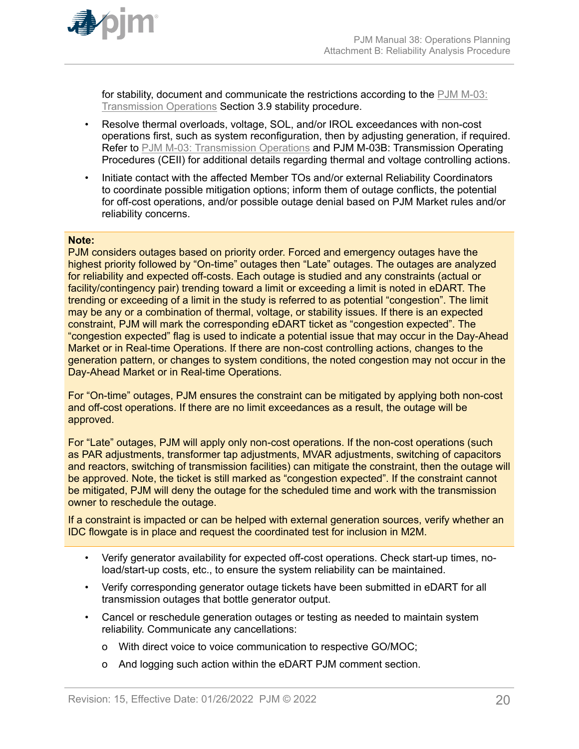

for stability, document and communicate the restrictions according to the [PJM M-03:](http://www.pjm.com/~/media/documents/manuals/m03.ashx) [Transmission Operations](http://www.pjm.com/~/media/documents/manuals/m03.ashx) Section 3.9 stability procedure.

- Resolve thermal overloads, voltage, SOL, and/or IROL exceedances with non-cost operations first, such as system reconfiguration, then by adjusting generation, if required. Refer to [PJM M-03: Transmission Operations](http://www.pjm.com/~/media/documents/manuals/m03.ashx) and PJM M-03B: Transmission Operating Procedures (CEII) for additional details regarding thermal and voltage controlling actions.
- Initiate contact with the affected Member TOs and/or external Reliability Coordinators to coordinate possible mitigation options; inform them of outage conflicts, the potential for off-cost operations, and/or possible outage denial based on PJM Market rules and/or reliability concerns.

#### **Note:**

PJM considers outages based on priority order. Forced and emergency outages have the highest priority followed by "On-time" outages then "Late" outages. The outages are analyzed for reliability and expected off-costs. Each outage is studied and any constraints (actual or facility/contingency pair) trending toward a limit or exceeding a limit is noted in eDART. The trending or exceeding of a limit in the study is referred to as potential "congestion". The limit may be any or a combination of thermal, voltage, or stability issues. If there is an expected constraint, PJM will mark the corresponding eDART ticket as "congestion expected". The "congestion expected" flag is used to indicate a potential issue that may occur in the Day-Ahead Market or in Real-time Operations. If there are non-cost controlling actions, changes to the generation pattern, or changes to system conditions, the noted congestion may not occur in the Day-Ahead Market or in Real-time Operations.

For "On-time" outages, PJM ensures the constraint can be mitigated by applying both non-cost and off-cost operations. If there are no limit exceedances as a result, the outage will be approved.

For "Late" outages, PJM will apply only non-cost operations. If the non-cost operations (such as PAR adjustments, transformer tap adjustments, MVAR adjustments, switching of capacitors and reactors, switching of transmission facilities) can mitigate the constraint, then the outage will be approved. Note, the ticket is still marked as "congestion expected". If the constraint cannot be mitigated, PJM will deny the outage for the scheduled time and work with the transmission owner to reschedule the outage.

If a constraint is impacted or can be helped with external generation sources, verify whether an IDC flowgate is in place and request the coordinated test for inclusion in M2M.

- Verify generator availability for expected off-cost operations. Check start-up times, noload/start-up costs, etc., to ensure the system reliability can be maintained.
- Verify corresponding generator outage tickets have been submitted in eDART for all transmission outages that bottle generator output.
- Cancel or reschedule generation outages or testing as needed to maintain system reliability. Communicate any cancellations:
	- o With direct voice to voice communication to respective GO/MOC;
	- o And logging such action within the eDART PJM comment section.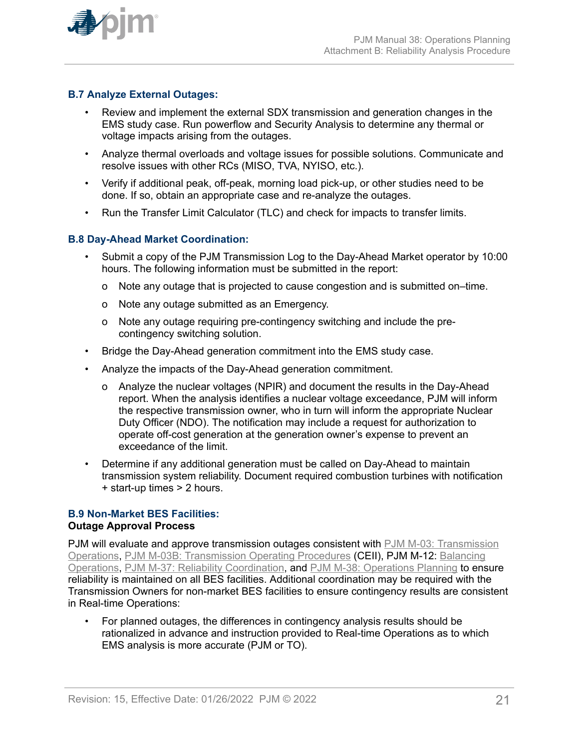

## **B.7 Analyze External Outages:**

- Review and implement the external SDX transmission and generation changes in the EMS study case. Run powerflow and Security Analysis to determine any thermal or voltage impacts arising from the outages.
- Analyze thermal overloads and voltage issues for possible solutions. Communicate and resolve issues with other RCs (MISO, TVA, NYISO, etc.).
- Verify if additional peak, off-peak, morning load pick-up, or other studies need to be done. If so, obtain an appropriate case and re-analyze the outages.
- Run the Transfer Limit Calculator (TLC) and check for impacts to transfer limits.

## **B.8 Day-Ahead Market Coordination:**

- Submit a copy of the PJM Transmission Log to the Day-Ahead Market operator by 10:00 hours. The following information must be submitted in the report:
	- o Note any outage that is projected to cause congestion and is submitted on–time.
	- o Note any outage submitted as an Emergency.
	- o Note any outage requiring pre-contingency switching and include the precontingency switching solution.
- Bridge the Day-Ahead generation commitment into the EMS study case.
- Analyze the impacts of the Day-Ahead generation commitment.
	- o Analyze the nuclear voltages (NPIR) and document the results in the Day-Ahead report. When the analysis identifies a nuclear voltage exceedance, PJM will inform the respective transmission owner, who in turn will inform the appropriate Nuclear Duty Officer (NDO). The notification may include a request for authorization to operate off-cost generation at the generation owner's expense to prevent an exceedance of the limit.
- Determine if any additional generation must be called on Day-Ahead to maintain transmission system reliability. Document required combustion turbines with notification + start-up times > 2 hours.

#### **B.9 Non-Market BES Facilities: Outage Approval Process**

PJM will evaluate and approve transmission outages consistent with [PJM M-03: Transmission](http://www.pjm.com/~/media/documents/manuals/m03.ashx) [Operations,](http://www.pjm.com/~/media/documents/manuals/m03.ashx) [PJM M-03B: Transmission Operating Procedures](https://www.pjm.com/library/manuals/private-m03.aspx) (CEII), PJM M-12: [Balancing](http://pjm.com/~/media/documents/manuals/m12.ashx) [Operations,](http://pjm.com/~/media/documents/manuals/m12.ashx) [PJM M-37: Reliability Coordination,](http://pjm.com/~/media/documents/manuals/m37.ashx) and [PJM M-38: Operations Planning](http://www.pjm.com/~/media/documents/manuals/m38.ashx) to ensure reliability is maintained on all BES facilities. Additional coordination may be required with the Transmission Owners for non-market BES facilities to ensure contingency results are consistent in Real-time Operations:

• For planned outages, the differences in contingency analysis results should be rationalized in advance and instruction provided to Real-time Operations as to which EMS analysis is more accurate (PJM or TO).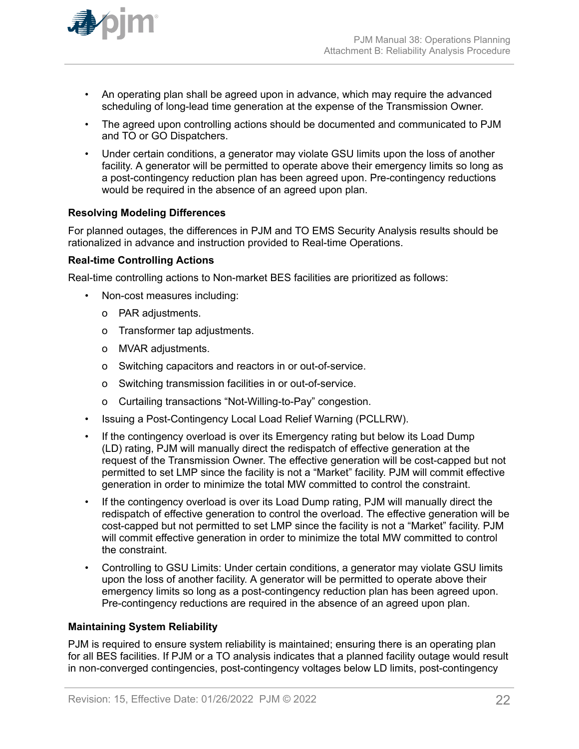

- An operating plan shall be agreed upon in advance, which may require the advanced scheduling of long-lead time generation at the expense of the Transmission Owner.
- The agreed upon controlling actions should be documented and communicated to PJM and TO or GO Dispatchers.
- Under certain conditions, a generator may violate GSU limits upon the loss of another facility. A generator will be permitted to operate above their emergency limits so long as a post-contingency reduction plan has been agreed upon. Pre-contingency reductions would be required in the absence of an agreed upon plan.

## **Resolving Modeling Differences**

For planned outages, the differences in PJM and TO EMS Security Analysis results should be rationalized in advance and instruction provided to Real-time Operations.

### **Real-time Controlling Actions**

Real-time controlling actions to Non-market BES facilities are prioritized as follows:

- Non-cost measures including:
	- o PAR adjustments.
	- o Transformer tap adjustments.
	- o MVAR adjustments.
	- o Switching capacitors and reactors in or out-of-service.
	- o Switching transmission facilities in or out-of-service.
	- o Curtailing transactions "Not-Willing-to-Pay" congestion.
- Issuing a Post-Contingency Local Load Relief Warning (PCLLRW).
- If the contingency overload is over its Emergency rating but below its Load Dump (LD) rating, PJM will manually direct the redispatch of effective generation at the request of the Transmission Owner. The effective generation will be cost-capped but not permitted to set LMP since the facility is not a "Market" facility. PJM will commit effective generation in order to minimize the total MW committed to control the constraint.
- If the contingency overload is over its Load Dump rating, PJM will manually direct the redispatch of effective generation to control the overload. The effective generation will be cost-capped but not permitted to set LMP since the facility is not a "Market" facility. PJM will commit effective generation in order to minimize the total MW committed to control the constraint.
- Controlling to GSU Limits: Under certain conditions, a generator may violate GSU limits upon the loss of another facility. A generator will be permitted to operate above their emergency limits so long as a post-contingency reduction plan has been agreed upon. Pre-contingency reductions are required in the absence of an agreed upon plan.

## **Maintaining System Reliability**

PJM is required to ensure system reliability is maintained; ensuring there is an operating plan for all BES facilities. If PJM or a TO analysis indicates that a planned facility outage would result in non-converged contingencies, post-contingency voltages below LD limits, post-contingency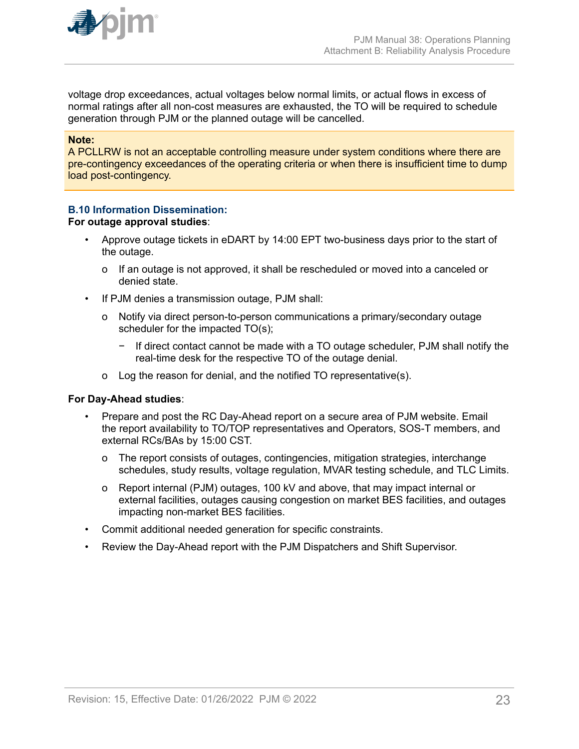

voltage drop exceedances, actual voltages below normal limits, or actual flows in excess of normal ratings after all non-cost measures are exhausted, the TO will be required to schedule generation through PJM or the planned outage will be cancelled.

#### **Note:**

A PCLLRW is not an acceptable controlling measure under system conditions where there are pre-contingency exceedances of the operating criteria or when there is insufficient time to dump load post-contingency.

### **B.10 Information Dissemination:**

#### **For outage approval studies**:

- Approve outage tickets in eDART by 14:00 EPT two-business days prior to the start of the outage.
	- o If an outage is not approved, it shall be rescheduled or moved into a canceled or denied state.
- If PJM denies a transmission outage, PJM shall:
	- o Notify via direct person-to-person communications a primary/secondary outage scheduler for the impacted TO(s);
		- − If direct contact cannot be made with a TO outage scheduler, PJM shall notify the real-time desk for the respective TO of the outage denial.
	- o Log the reason for denial, and the notified TO representative(s).

#### **For Day-Ahead studies**:

- Prepare and post the RC Day-Ahead report on a secure area of PJM website. Email the report availability to TO/TOP representatives and Operators, SOS-T members, and external RCs/BAs by 15:00 CST.
	- o The report consists of outages, contingencies, mitigation strategies, interchange schedules, study results, voltage regulation, MVAR testing schedule, and TLC Limits.
	- o Report internal (PJM) outages, 100 kV and above, that may impact internal or external facilities, outages causing congestion on market BES facilities, and outages impacting non-market BES facilities.
- Commit additional needed generation for specific constraints.
- Review the Day-Ahead report with the PJM Dispatchers and Shift Supervisor.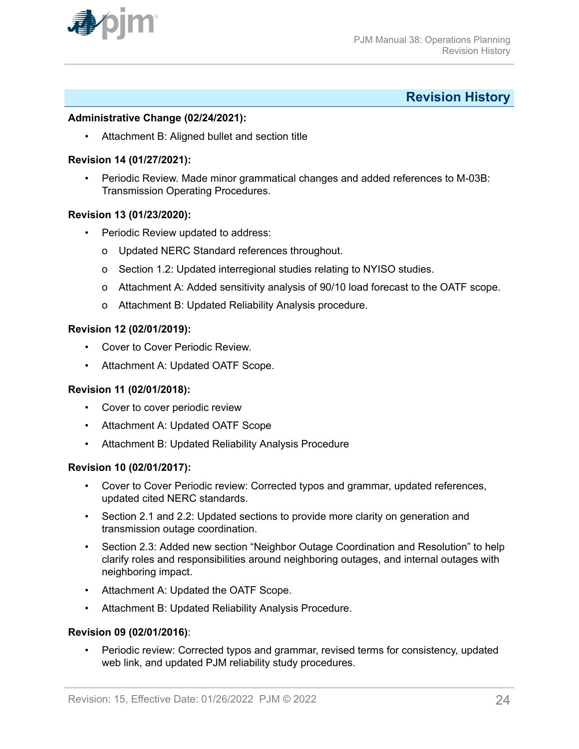<span id="page-23-0"></span>

## **Revision History**

#### **Administrative Change (02/24/2021):**

• Attachment B: Aligned bullet and section title

#### **Revision 14 (01/27/2021):**

• Periodic Review. Made minor grammatical changes and added references to M-03B: Transmission Operating Procedures.

### **Revision 13 (01/23/2020):**

- Periodic Review updated to address:
	- o Updated NERC Standard references throughout.
	- o Section 1.2: Updated interregional studies relating to NYISO studies.
	- o Attachment A: Added sensitivity analysis of 90/10 load forecast to the OATF scope.
	- o Attachment B: Updated Reliability Analysis procedure.

#### **Revision 12 (02/01/2019):**

- Cover to Cover Periodic Review.
- Attachment A: Updated OATF Scope.

## **Revision 11 (02/01/2018):**

- Cover to cover periodic review
- Attachment A: Updated OATF Scope
- Attachment B: Updated Reliability Analysis Procedure

#### **Revision 10 (02/01/2017):**

- Cover to Cover Periodic review: Corrected typos and grammar, updated references, updated cited NERC standards.
- Section 2.1 and 2.2: Updated sections to provide more clarity on generation and transmission outage coordination.
- Section 2.3: Added new section "Neighbor Outage Coordination and Resolution" to help clarify roles and responsibilities around neighboring outages, and internal outages with neighboring impact.
- Attachment A: Updated the OATF Scope.
- Attachment B: Updated Reliability Analysis Procedure.

#### **Revision 09 (02/01/2016)**:

• Periodic review: Corrected typos and grammar, revised terms for consistency, updated web link, and updated PJM reliability study procedures.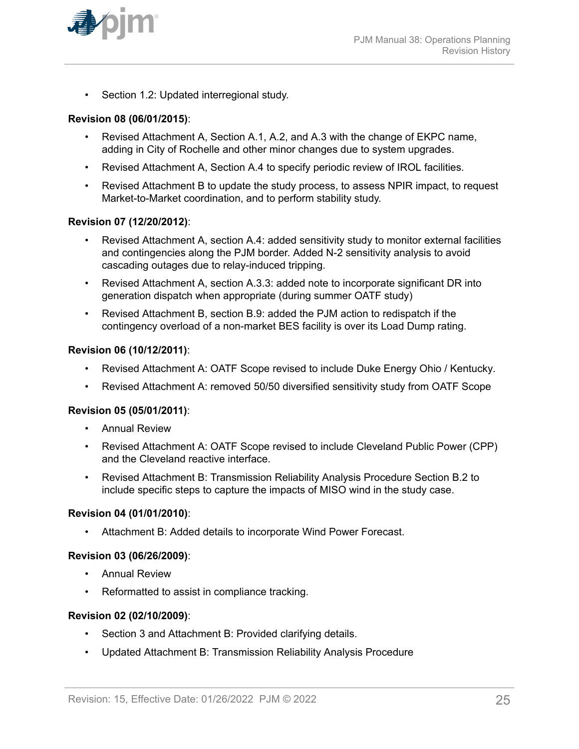

• Section 1.2: Updated interregional study.

#### **Revision 08 (06/01/2015)**:

- Revised Attachment A, Section A.1, A.2, and A.3 with the change of EKPC name, adding in City of Rochelle and other minor changes due to system upgrades.
- Revised Attachment A, Section A.4 to specify periodic review of IROL facilities.
- Revised Attachment B to update the study process, to assess NPIR impact, to request Market-to-Market coordination, and to perform stability study.

#### **Revision 07 (12/20/2012)**:

- Revised Attachment A, section A.4: added sensitivity study to monitor external facilities and contingencies along the PJM border. Added N-2 sensitivity analysis to avoid cascading outages due to relay-induced tripping.
- Revised Attachment A, section A.3.3: added note to incorporate significant DR into generation dispatch when appropriate (during summer OATF study)
- Revised Attachment B, section B.9: added the PJM action to redispatch if the contingency overload of a non-market BES facility is over its Load Dump rating.

#### **Revision 06 (10/12/2011)**:

- Revised Attachment A: OATF Scope revised to include Duke Energy Ohio / Kentucky*.*
- Revised Attachment A: removed 50/50 diversified sensitivity study from OATF Scope

#### **Revision 05 (05/01/2011)**:

- Annual Review
- Revised Attachment A: OATF Scope revised to include Cleveland Public Power (CPP) and the Cleveland reactive interface.
- Revised Attachment B: Transmission Reliability Analysis Procedure Section B.2 to include specific steps to capture the impacts of MISO wind in the study case.

#### **Revision 04 (01/01/2010)**:

• Attachment B: Added details to incorporate Wind Power Forecast.

## **Revision 03 (06/26/2009)**:

- Annual Review
- Reformatted to assist in compliance tracking.

#### **Revision 02 (02/10/2009)**:

- Section 3 and Attachment B: Provided clarifying details.
- Updated Attachment B: Transmission Reliability Analysis Procedure